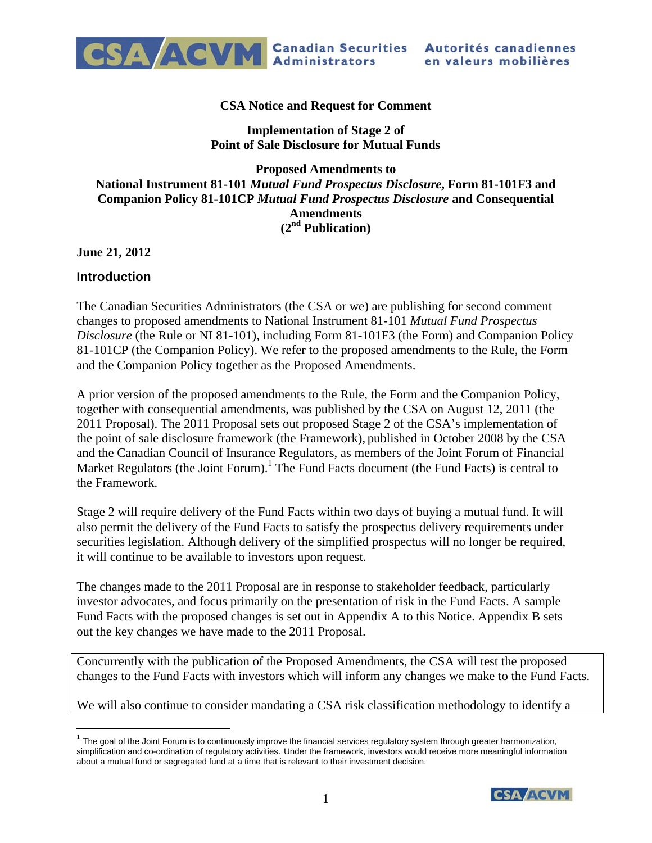

#### **CSA Notice and Request for Comment**

## **Implementation of Stage 2 of Point of Sale Disclosure for Mutual Funds**

## **Proposed Amendments to National Instrument 81-101** *Mutual Fund Prospectus Disclosure***, Form 81-101F3 and Companion Policy 81-101CP** *Mutual Fund Prospectus Disclosure* **and Consequential Amendments (2nd Publication)**

**June 21, 2012** 

### **Introduction**

 $\overline{a}$ 

The Canadian Securities Administrators (the CSA or we) are publishing for second comment changes to proposed amendments to National Instrument 81-101 *Mutual Fund Prospectus Disclosure* (the Rule or NI 81-101), including Form 81-101F3 (the Form) and Companion Policy 81-101CP (the Companion Policy). We refer to the proposed amendments to the Rule, the Form and the Companion Policy together as the Proposed Amendments.

A prior version of the proposed amendments to the Rule, the Form and the Companion Policy, together with consequential amendments, was published by the CSA on August 12, 2011 (the 2011 Proposal). The 2011 Proposal sets out proposed Stage 2 of the CSA's implementation of the point of sale disclosure framework (the Framework), published in October 2008 by the CSA and the Canadian Council of Insurance Regulators, as members of the Joint Forum of Financial Market Regulators (the Joint Forum).<sup>1</sup> The Fund Facts document (the Fund Facts) is central to the Framework.

Stage 2 will require delivery of the Fund Facts within two days of buying a mutual fund. It will also permit the delivery of the Fund Facts to satisfy the prospectus delivery requirements under securities legislation. Although delivery of the simplified prospectus will no longer be required, it will continue to be available to investors upon request.

The changes made to the 2011 Proposal are in response to stakeholder feedback, particularly investor advocates, and focus primarily on the presentation of risk in the Fund Facts. A sample Fund Facts with the proposed changes is set out in Appendix A to this Notice. Appendix B sets out the key changes we have made to the 2011 Proposal.

Concurrently with the publication of the Proposed Amendments, the CSA will test the proposed changes to the Fund Facts with investors which will inform any changes we make to the Fund Facts.

We will also continue to consider mandating a CSA risk classification methodology to identify a

 $1$  The goal of the Joint Forum is to continuously improve the financial services regulatory system through greater harmonization, simplification and co-ordination of regulatory activities. Under the framework, investors would receive more meaningful information about a mutual fund or segregated fund at a time that is relevant to their investment decision.

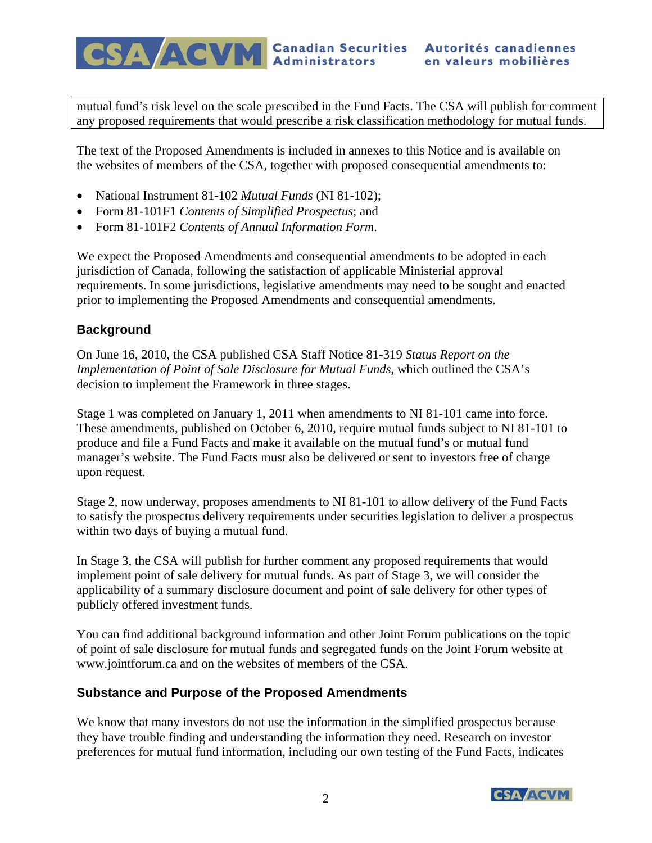CSA ACVM Canadian Securities Autorités canadiennes

mutual fund's risk level on the scale prescribed in the Fund Facts. The CSA will publish for comment any proposed requirements that would prescribe a risk classification methodology for mutual funds.

The text of the Proposed Amendments is included in annexes to this Notice and is available on the websites of members of the CSA, together with proposed consequential amendments to:

- National Instrument 81-102 *Mutual Funds* (NI 81-102);
- Form 81-101F1 *Contents of Simplified Prospectus*; and
- Form 81-101F2 *Contents of Annual Information Form*.

We expect the Proposed Amendments and consequential amendments to be adopted in each jurisdiction of Canada, following the satisfaction of applicable Ministerial approval requirements. In some jurisdictions, legislative amendments may need to be sought and enacted prior to implementing the Proposed Amendments and consequential amendments.

## **Background**

On June 16, 2010, the CSA published CSA Staff Notice 81-319 *Status Report on the Implementation of Point of Sale Disclosure for Mutual Funds*, which outlined the CSA's decision to implement the Framework in three stages.

Stage 1 was completed on January 1, 2011 when amendments to NI 81-101 came into force. These amendments, published on October 6, 2010, require mutual funds subject to NI 81-101 to produce and file a Fund Facts and make it available on the mutual fund's or mutual fund manager's website. The Fund Facts must also be delivered or sent to investors free of charge upon request.

Stage 2, now underway, proposes amendments to NI 81-101 to allow delivery of the Fund Facts to satisfy the prospectus delivery requirements under securities legislation to deliver a prospectus within two days of buying a mutual fund.

In Stage 3, the CSA will publish for further comment any proposed requirements that would implement point of sale delivery for mutual funds. As part of Stage 3, we will consider the applicability of a summary disclosure document and point of sale delivery for other types of publicly offered investment funds.

You can find additional background information and other Joint Forum publications on the topic of point of sale disclosure for mutual funds and segregated funds on the Joint Forum website at www.jointforum.ca and on the websites of members of the CSA.

# **Substance and Purpose of the Proposed Amendments**

We know that many investors do not use the information in the simplified prospectus because they have trouble finding and understanding the information they need. Research on investor preferences for mutual fund information, including our own testing of the Fund Facts, indicates

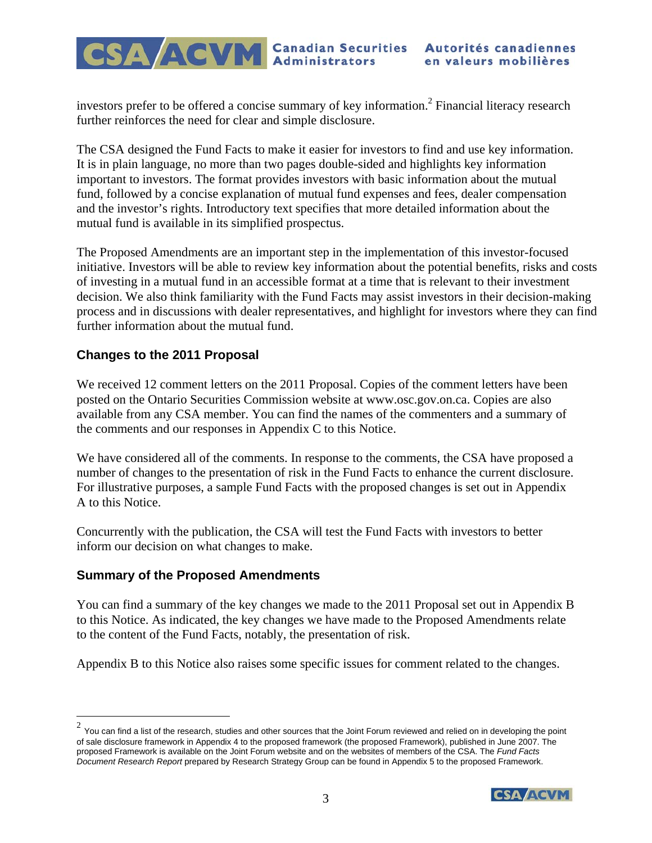investors prefer to be offered a concise summary of key information.<sup>2</sup> Financial literacy research further reinforces the need for clear and simple disclosure.

The CSA designed the Fund Facts to make it easier for investors to find and use key information. It is in plain language, no more than two pages double-sided and highlights key information important to investors. The format provides investors with basic information about the mutual fund, followed by a concise explanation of mutual fund expenses and fees, dealer compensation and the investor's rights. Introductory text specifies that more detailed information about the mutual fund is available in its simplified prospectus.

The Proposed Amendments are an important step in the implementation of this investor-focused initiative. Investors will be able to review key information about the potential benefits, risks and costs of investing in a mutual fund in an accessible format at a time that is relevant to their investment decision. We also think familiarity with the Fund Facts may assist investors in their decision-making process and in discussions with dealer representatives, and highlight for investors where they can find further information about the mutual fund.

# **Changes to the 2011 Proposal**

We received 12 comment letters on the 2011 Proposal. Copies of the comment letters have been posted on the Ontario Securities Commission website at www.osc.gov.on.ca. Copies are also available from any CSA member. You can find the names of the commenters and a summary of the comments and our responses in Appendix C to this Notice.

We have considered all of the comments. In response to the comments, the CSA have proposed a number of changes to the presentation of risk in the Fund Facts to enhance the current disclosure. For illustrative purposes, a sample Fund Facts with the proposed changes is set out in Appendix A to this Notice.

Concurrently with the publication, the CSA will test the Fund Facts with investors to better inform our decision on what changes to make.

# **Summary of the Proposed Amendments**

 $\overline{a}$ 

You can find a summary of the key changes we made to the 2011 Proposal set out in Appendix B to this Notice. As indicated, the key changes we have made to the Proposed Amendments relate to the content of the Fund Facts, notably, the presentation of risk.

Appendix B to this Notice also raises some specific issues for comment related to the changes.

 $^2$  You can find a list of the research, studies and other sources that the Joint Forum reviewed and relied on in developing the point of sale disclosure framework in Appendix 4 to the proposed framework (the proposed Framework), published in June 2007. The proposed Framework is available on the Joint Forum website and on the websites of members of the CSA. The *Fund Facts Document Research Report* prepared by Research Strategy Group can be found in Appendix 5 to the proposed Framework.

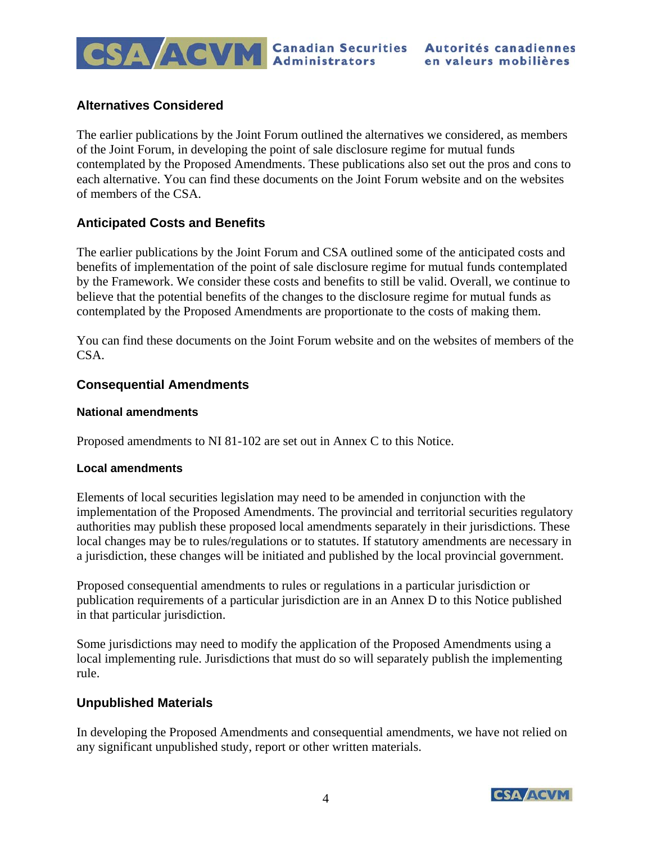

# **Alternatives Considered**

The earlier publications by the Joint Forum outlined the alternatives we considered, as members of the Joint Forum, in developing the point of sale disclosure regime for mutual funds contemplated by the Proposed Amendments. These publications also set out the pros and cons to each alternative. You can find these documents on the Joint Forum website and on the websites of members of the CSA.

# **Anticipated Costs and Benefits**

The earlier publications by the Joint Forum and CSA outlined some of the anticipated costs and benefits of implementation of the point of sale disclosure regime for mutual funds contemplated by the Framework. We consider these costs and benefits to still be valid. Overall, we continue to believe that the potential benefits of the changes to the disclosure regime for mutual funds as contemplated by the Proposed Amendments are proportionate to the costs of making them.

You can find these documents on the Joint Forum website and on the websites of members of the CSA.

## **Consequential Amendments**

#### **National amendments**

Proposed amendments to NI 81-102 are set out in Annex C to this Notice.

### **Local amendments**

Elements of local securities legislation may need to be amended in conjunction with the implementation of the Proposed Amendments. The provincial and territorial securities regulatory authorities may publish these proposed local amendments separately in their jurisdictions. These local changes may be to rules/regulations or to statutes. If statutory amendments are necessary in a jurisdiction, these changes will be initiated and published by the local provincial government.

Proposed consequential amendments to rules or regulations in a particular jurisdiction or publication requirements of a particular jurisdiction are in an Annex D to this Notice published in that particular jurisdiction.

Some jurisdictions may need to modify the application of the Proposed Amendments using a local implementing rule. Jurisdictions that must do so will separately publish the implementing rule.

### **Unpublished Materials**

In developing the Proposed Amendments and consequential amendments, we have not relied on any significant unpublished study, report or other written materials.

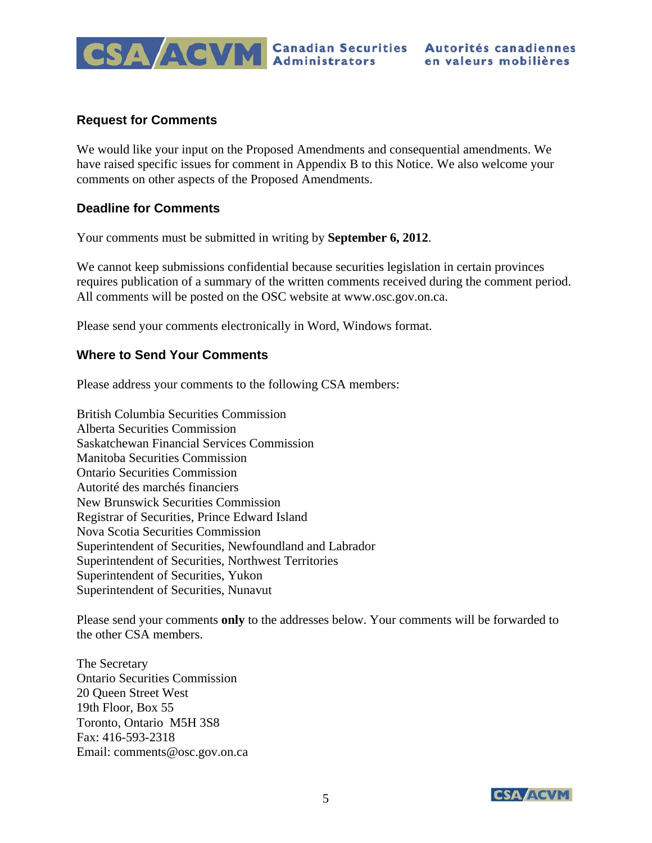

## **Request for Comments**

We would like your input on the Proposed Amendments and consequential amendments. We have raised specific issues for comment in Appendix B to this Notice. We also welcome your comments on other aspects of the Proposed Amendments.

## **Deadline for Comments**

Your comments must be submitted in writing by **September 6, 2012**.

We cannot keep submissions confidential because securities legislation in certain provinces requires publication of a summary of the written comments received during the comment period. All comments will be posted on the OSC website at www.osc.gov.on.ca.

Please send your comments electronically in Word, Windows format.

## **Where to Send Your Comments**

Please address your comments to the following CSA members:

British Columbia Securities Commission Alberta Securities Commission Saskatchewan Financial Services Commission Manitoba Securities Commission Ontario Securities Commission Autorité des marchés financiers New Brunswick Securities Commission Registrar of Securities, Prince Edward Island Nova Scotia Securities Commission Superintendent of Securities, Newfoundland and Labrador Superintendent of Securities, Northwest Territories Superintendent of Securities, Yukon Superintendent of Securities, Nunavut

Please send your comments **only** to the addresses below. Your comments will be forwarded to the other CSA members.

The Secretary Ontario Securities Commission 20 Queen Street West 19th Floor, Box 55 Toronto, Ontario M5H 3S8 Fax: 416-593-2318 Email: comments@osc.gov.on.ca

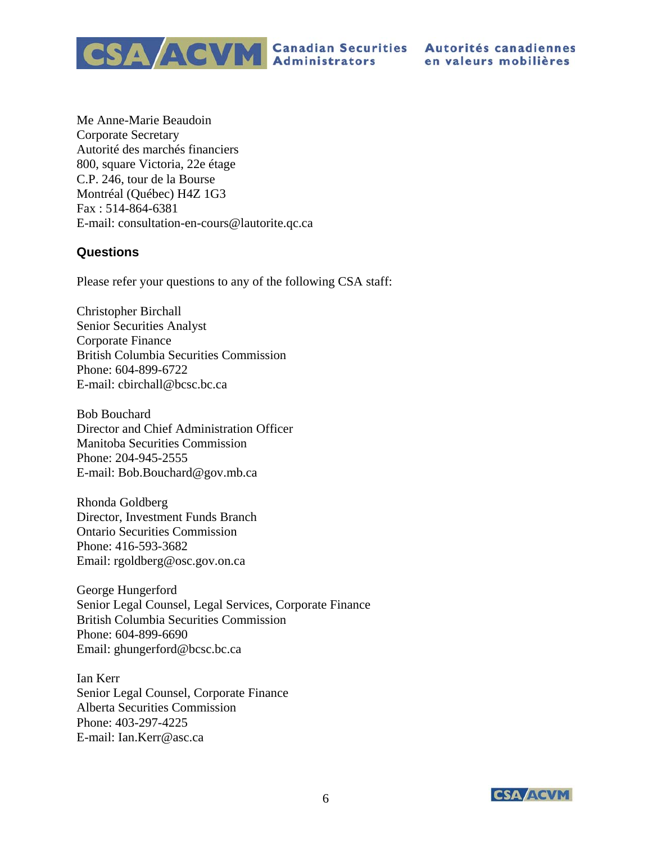CSA ACVM Canadian Securities Autorités canadiennes

Me Anne-Marie Beaudoin Corporate Secretary Autorité des marchés financiers 800, square Victoria, 22e étage C.P. 246, tour de la Bourse Montréal (Québec) H4Z 1G3 Fax : 514-864-6381 E-mail: consultation-en-cours@lautorite.qc.ca

# **Questions**

Please refer your questions to any of the following CSA staff:

Christopher Birchall Senior Securities Analyst Corporate Finance British Columbia Securities Commission Phone: 604-899-6722 E-mail: cbirchall@bcsc.bc.ca

Bob Bouchard Director and Chief Administration Officer Manitoba Securities Commission Phone: 204-945-2555 E-mail: Bob.Bouchard@gov.mb.ca

Rhonda Goldberg Director, Investment Funds Branch Ontario Securities Commission Phone: 416-593-3682 Email: rgoldberg@osc.gov.on.ca

George Hungerford Senior Legal Counsel, Legal Services, Corporate Finance British Columbia Securities Commission Phone: 604-899-6690 Email: ghungerford@bcsc.bc.ca

Ian Kerr Senior Legal Counsel, Corporate Finance Alberta Securities Commission Phone: 403-297-4225 E-mail: Ian.Kerr@asc.ca